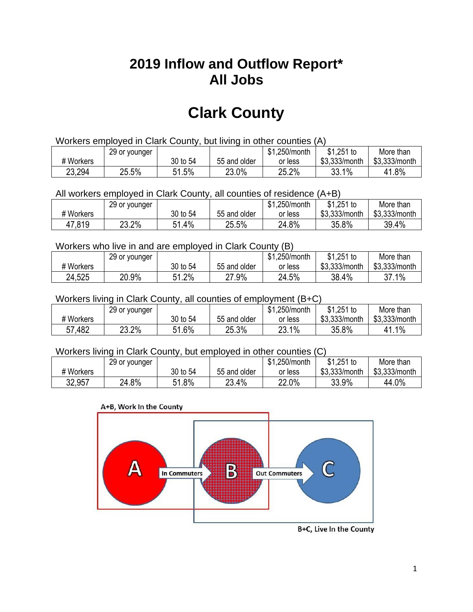## **2019 Inflow and Outflow Report\* All Jobs**

# **Clark County**

| Workers employed in Clark County, but living in other counties (A) |                                                           |          |              |         |               |               |  |  |  |
|--------------------------------------------------------------------|-----------------------------------------------------------|----------|--------------|---------|---------------|---------------|--|--|--|
|                                                                    | \$1.251 to<br>\$1.250/month<br>More than<br>29 or younger |          |              |         |               |               |  |  |  |
| # Workers                                                          |                                                           | 30 to 54 | 55 and older | or less | \$3.333/month | \$3,333/month |  |  |  |
| 23,294                                                             | 25.5%                                                     | 51.5%    | 23.0%        | 25.2%   | 33.1%         | 41.8%         |  |  |  |

All workers employed in Clark County, all counties of residence (A+B)

|           | 29 or younger |          |              | \$1,250/month | $$1,251$ to   | More than     |
|-----------|---------------|----------|--------------|---------------|---------------|---------------|
| # Workers |               | 30 to 54 | 55 and older | or less       | \$3,333/month | \$3,333/month |
| 47,819    | 23.2%         | 1.4%،    | 25.5%        | 24.8%         | 35.8%         | 39.4%         |

#### Workers who live in and are employed in Clark County (B)

|           | 29 or younger |          |              | \$1,250/month | $$1,251$ to   | More than     |
|-----------|---------------|----------|--------------|---------------|---------------|---------------|
| # Workers |               | 30 to 54 | 55 and older | or less       | \$3,333/month | \$3,333/month |
| 24,525    | 20.9%         | 1.2%     | 27.9%        | 24.5%         | 38.4%         | 37.1%         |

#### Workers living in Clark County, all counties of employment (B+C)

|           | 29 or younger |          |              | \$1,250/month | \$1,251 to    | More than     |
|-----------|---------------|----------|--------------|---------------|---------------|---------------|
| # Workers |               | 30 to 54 | 55 and older | or less       | \$3,333/month | \$3,333/month |
| 57,482    | 23.2%         | 51.6%    | 25.3%        | 23.1%         | 35.8%         | 1.1%          |

#### Workers living in Clark County, but employed in other counties (C)

|           | 29 or younger |             |              | \$1,250/month | $$1,251$ to   | More than     |
|-----------|---------------|-------------|--------------|---------------|---------------|---------------|
| # Workers |               | 30 to 54    | 55 and older | or less       | \$3,333/month | \$3,333/month |
| 32,957    | 24.8%         | 1.8%<br>E 4 | 23.4%        | 22.0%         | 33.9%         | 44.0%         |





B+C, Live In the County